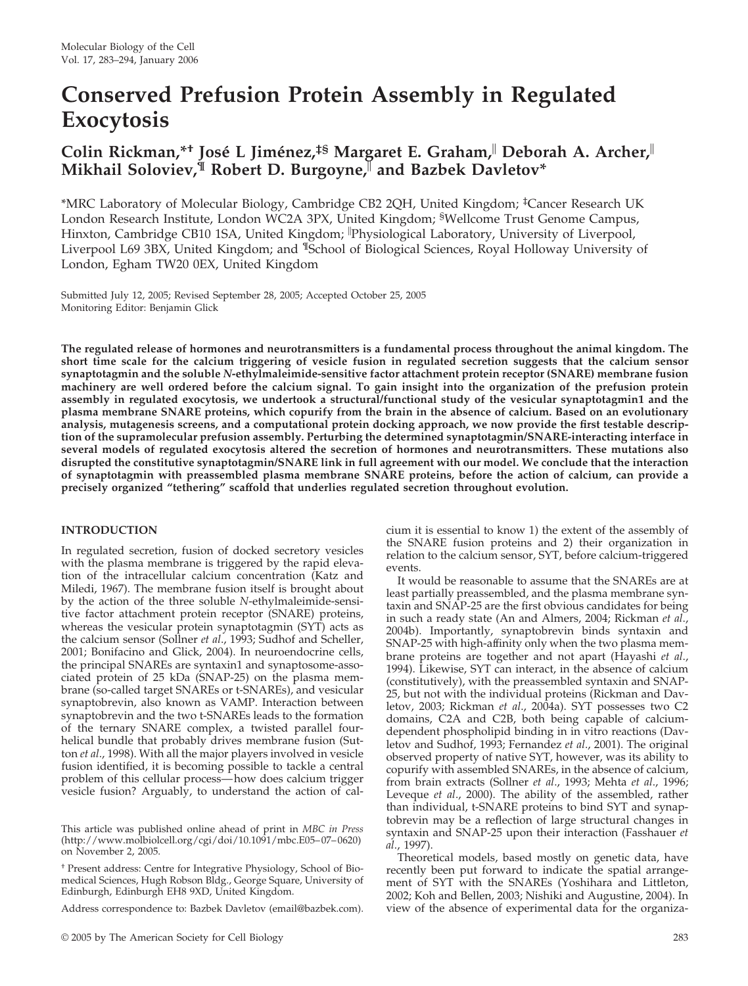# **Conserved Prefusion Protein Assembly in Regulated Exocytosis**

# **Colin Rickman,\*† Jose´ L Jime´nez,‡§ Margaret E. Graham, Deborah A. Archer, Mikhail Soloviev,¶ Robert D. Burgoyne, and Bazbek Davletov\***

\*MRC Laboratory of Molecular Biology, Cambridge CB2 2QH, United Kingdom; ‡ Cancer Research UK London Research Institute, London WC2A 3PX, United Kingdom; <sup>§</sup>Wellcome Trust Genome Campus, Hinxton, Cambridge CB10 1SA, United Kingdom; Physiological Laboratory, University of Liverpool, Liverpool L69 3BX, United Kingdom; and ¶School of Biological Sciences, Royal Holloway University of London, Egham TW20 0EX, United Kingdom

Submitted July 12, 2005; Revised September 28, 2005; Accepted October 25, 2005 Monitoring Editor: Benjamin Glick

**The regulated release of hormones and neurotransmitters is a fundamental process throughout the animal kingdom. The short time scale for the calcium triggering of vesicle fusion in regulated secretion suggests that the calcium sensor synaptotagmin and the soluble** *N***-ethylmaleimide-sensitive factor attachment protein receptor (SNARE) membrane fusion machinery are well ordered before the calcium signal. To gain insight into the organization of the prefusion protein assembly in regulated exocytosis, we undertook a structural/functional study of the vesicular synaptotagmin1 and the plasma membrane SNARE proteins, which copurify from the brain in the absence of calcium. Based on an evolutionary analysis, mutagenesis screens, and a computational protein docking approach, we now provide the first testable description of the supramolecular prefusion assembly. Perturbing the determined synaptotagmin/SNARE-interacting interface in several models of regulated exocytosis altered the secretion of hormones and neurotransmitters. These mutations also disrupted the constitutive synaptotagmin/SNARE link in full agreement with our model. We conclude that the interaction of synaptotagmin with preassembled plasma membrane SNARE proteins, before the action of calcium, can provide a precisely organized "tethering" scaffold that underlies regulated secretion throughout evolution.**

# **INTRODUCTION**

In regulated secretion, fusion of docked secretory vesicles with the plasma membrane is triggered by the rapid elevation of the intracellular calcium concentration (Katz and Miledi, 1967). The membrane fusion itself is brought about by the action of the three soluble *N*-ethylmaleimide-sensitive factor attachment protein receptor (SNARE) proteins, whereas the vesicular protein synaptotagmin (SYT) acts as the calcium sensor (Sollner *et al*., 1993; Sudhof and Scheller, 2001; Bonifacino and Glick, 2004). In neuroendocrine cells, the principal SNAREs are syntaxin1 and synaptosome-associated protein of 25 kDa (SNAP-25) on the plasma membrane (so-called target SNAREs or t-SNAREs), and vesicular synaptobrevin, also known as VAMP. Interaction between synaptobrevin and the two t-SNAREs leads to the formation of the ternary SNARE complex, a twisted parallel fourhelical bundle that probably drives membrane fusion (Sutton *et al*., 1998). With all the major players involved in vesicle fusion identified, it is becoming possible to tackle a central problem of this cellular process—how does calcium trigger vesicle fusion? Arguably, to understand the action of cal-

Address correspondence to: Bazbek Davletov (email@bazbek.com).

cium it is essential to know 1) the extent of the assembly of the SNARE fusion proteins and 2) their organization in relation to the calcium sensor, SYT, before calcium-triggered events.

It would be reasonable to assume that the SNAREs are at least partially preassembled, and the plasma membrane syntaxin and SNAP-25 are the first obvious candidates for being in such a ready state (An and Almers, 2004; Rickman *et al*., 2004b). Importantly, synaptobrevin binds syntaxin and SNAP-25 with high-affinity only when the two plasma membrane proteins are together and not apart (Hayashi *et al*., 1994). Likewise, SYT can interact, in the absence of calcium (constitutively), with the preassembled syntaxin and SNAP-25, but not with the individual proteins (Rickman and Davletov, 2003; Rickman *et al.*, 2004a). SYT possesses two C2 domains, C2A and C2B, both being capable of calciumdependent phospholipid binding in in vitro reactions (Davletov and Sudhof, 1993; Fernandez *et al*., 2001). The original observed property of native SYT, however, was its ability to copurify with assembled SNAREs, in the absence of calcium, from brain extracts (Sollner *et al*., 1993; Mehta *et al*., 1996; Leveque *et al*., 2000). The ability of the assembled, rather than individual, t-SNARE proteins to bind SYT and synaptobrevin may be a reflection of large structural changes in syntaxin and SNAP-25 upon their interaction (Fasshauer *et al*., 1997).

Theoretical models, based mostly on genetic data, have recently been put forward to indicate the spatial arrangement of SYT with the SNAREs (Yoshihara and Littleton, 2002; Koh and Bellen, 2003; Nishiki and Augustine, 2004). In view of the absence of experimental data for the organiza-

This article was published online ahead of print in *MBC in Press* (http://www.molbiolcell.org/cgi/doi/10.1091/mbc.E05–07–0620) on November 2, 2005.

<sup>†</sup> Present address: Centre for Integrative Physiology, School of Biomedical Sciences, Hugh Robson Bldg., George Square, University of Edinburgh, Edinburgh EH8 9XD, United Kingdom.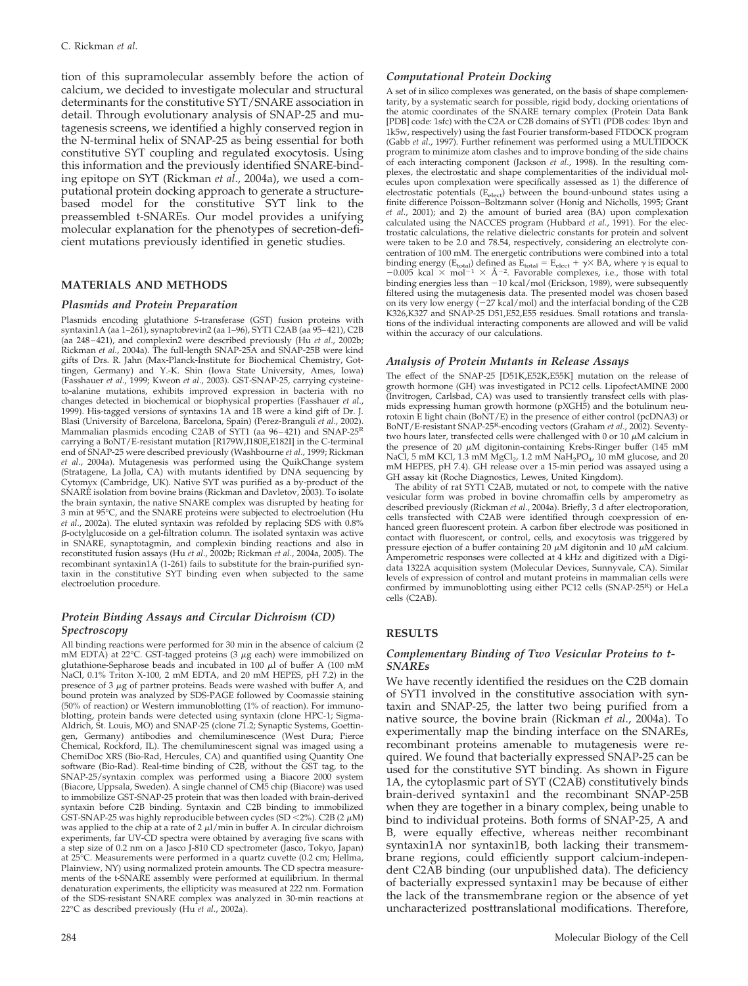tion of this supramolecular assembly before the action of calcium, we decided to investigate molecular and structural determinants for the constitutive SYT/SNARE association in detail. Through evolutionary analysis of SNAP-25 and mutagenesis screens, we identified a highly conserved region in the N-terminal helix of SNAP-25 as being essential for both constitutive SYT coupling and regulated exocytosis. Using this information and the previously identified SNARE-binding epitope on SYT (Rickman *et al*., 2004a), we used a computational protein docking approach to generate a structurebased model for the constitutive SYT link to the preassembled t-SNAREs. Our model provides a unifying molecular explanation for the phenotypes of secretion-deficient mutations previously identified in genetic studies.

#### **MATERIALS AND METHODS**

#### *Plasmids and Protein Preparation*

Plasmids encoding glutathione *S*-transferase (GST) fusion proteins with syntaxin1A (aa 1–261), synaptobrevin2 (aa 1–96), SYT1 C2AB (aa 95–421), C2B (aa 248–421), and complexin2 were described previously (Hu *et al*., 2002b; Rickman *et al*., 2004a). The full-length SNAP-25A and SNAP-25B were kind gifts of Drs. R. Jahn (Max-Planck-Institute for Biochemical Chemistry, Gottingen, Germany) and Y.-K. Shin (Iowa State University, Ames, Iowa) (Fasshauer *et al*., 1999; Kweon *et al*., 2003). GST-SNAP-25, carrying cysteineto-alanine mutations, exhibits improved expression in bacteria with no changes detected in biochemical or biophysical properties (Fasshauer *et al*., 1999). His-tagged versions of syntaxins 1A and 1B were a kind gift of Dr. J. Blasi (University of Barcelona, Barcelona, Spain) (Perez-Branguli *et al*., 2002). Mammalian plasmids encoding C2AB of SYT1 (aa 96–421) and SNAP-25<sup>R</sup> carrying a BoNT/E-resistant mutation [R179W,I180E,E182I] in the C-terminal end of SNAP-25 were described previously (Washbourne *et al*., 1999; Rickman *et al*., 2004a). Mutagenesis was performed using the QuikChange system (Stratagene, La Jolla, CA) with mutants identified by DNA sequencing by Cytomyx (Cambridge, UK). Native SYT was purified as a by-product of the SNARE isolation from bovine brains (Rickman and Davletov, 2003). To isolate the brain syntaxin, the native SNARE complex was disrupted by heating for 3 min at 95°C, and the SNARE proteins were subjected to electroelution (Hu *et al*., 2002a). The eluted syntaxin was refolded by replacing SDS with 0.8%  $\beta$ -octylglucoside on a gel-filtration column. The isolated syntaxin was active in SNARE, synaptotagmin, and complexin binding reactions and also in reconstituted fusion assays (Hu *et al*., 2002b; Rickman *et al*., 2004a, 2005). The recombinant syntaxin1A (1-261) fails to substitute for the brain-purified syntaxin in the constitutive SYT binding even when subjected to the same electroelution procedure.

# *Protein Binding Assays and Circular Dichroism (CD) Spectroscopy*

All binding reactions were performed for 30 min in the absence of calcium (2 mM EDTA) at 22°C. GST-tagged proteins (3  $\mu$ g each) were immobilized on glutathione-Sepharose beads and incubated in 100  $\mu$ l of buffer A (100 mM NaCl, 0.1% Triton X-100, 2 mM EDTA, and 20 mM HEPES, pH 7.2) in the presence of 3  $\mu$ g of partner proteins. Beads were washed with buffer A, and bound protein was analyzed by SDS-PAGE followed by Coomassie staining (50% of reaction) or Western immunoblotting (1% of reaction). For immunoblotting, protein bands were detected using syntaxin (clone HPC-1; Sigma-Aldrich, St. Louis, MO) and SNAP-25 (clone 71.2; Synaptic Systems, Goettingen, Germany) antibodies and chemiluminescence (West Dura; Pierce Chemical, Rockford, IL). The chemiluminescent signal was imaged using a ChemiDoc XRS (Bio-Rad, Hercules, CA) and quantified using Quantity One software (Bio-Rad). Real-time binding of C2B, without the GST tag, to the SNAP-25/syntaxin complex was performed using a Biacore 2000 system (Biacore, Uppsala, Sweden). A single channel of CM5 chip (Biacore) was used to immobilize GST-SNAP-25 protein that was then loaded with brain-derived syntaxin before C2B binding. Syntaxin and C2B binding to immobilized GST-SNAP-25 was highly reproducible between cycles (SD <2%). C2B (2  $\mu$ M) was applied to the chip at a rate of 2  $\mu$ l/min in buffer A. In circular dichroism experiments, far UV-CD spectra were obtained by averaging five scans with a step size of 0.2 nm on a Jasco J-810 CD spectrometer (Jasco, Tokyo, Japan) at 25°C. Measurements were performed in a quartz cuvette (0.2 cm; Hellma, Plainview, NY) using normalized protein amounts. The CD spectra measurements of the t-SNARE assembly were performed at equilibrium. In thermal denaturation experiments, the ellipticity was measured at 222 nm. Formation of the SDS-resistant SNARE complex was analyzed in 30-min reactions at 22°C as described previously (Hu *et al*., 2002a).

### *Computational Protein Docking*

A set of in silico complexes was generated, on the basis of shape complementarity, by a systematic search for possible, rigid body, docking orientations of the atomic coordinates of the SNARE ternary complex (Protein Data Bank [PDB] code: 1sfc) with the C2A or C2B domains of SYT1 (PDB codes: 1byn and 1k5w, respectively) using the fast Fourier transform-based FTDOCK program (Gabb *et al*., 1997). Further refinement was performed using a MULTIDOCK program to minimize atom clashes and to improve bonding of the side chains of each interacting component (Jackson *et al*., 1998). In the resulting complexes, the electrostatic and shape complementarities of the individual molecules upon complexation were specifically assessed as 1) the difference of electrostatic potentials  $(E_{\text{elect}})$  between the bound-unbound states using a finite difference Poisson–Boltzmann solver (Honig and Nicholls, 1995; Grant *et al*., 2001); and 2) the amount of buried area (BA) upon complexation calculated using the NACCES program (Hubbard *et al*., 1991). For the electrostatic calculations, the relative dielectric constants for protein and solvent were taken to be 2.0 and 78.54, respectively, considering an electrolyte concentration of 100 mM. The energetic contributions were combined into a total binding energy ( $E_{total}$ ) defined as  $E_{total} = E_{elect} + \gamma \times BA$ , where  $\gamma$  is equal to  $-0.005$  kcal  $\times$  mol<sup>-1</sup>  $\times$  Å<sup>-2</sup>. Favorable complexes, i.e., those with total binding energies less than  $-10$  kcal/mol (Erickson, 1989), were subsequently filtered using the mutagenesis data. The presented model was chosen based on its very low energy (27 kcal/mol) and the interfacial bonding of the C2B K326,K327 and SNAP-25 D51,E52,E55 residues. Small rotations and translations of the individual interacting components are allowed and will be valid within the accuracy of our calculations.

#### *Analysis of Protein Mutants in Release Assays*

The effect of the SNAP-25 [D51K,E52K,E55K] mutation on the release of growth hormone (GH) was investigated in PC12 cells. LipofectAMINE 2000 (Invitrogen, Carlsbad, CA) was used to transiently transfect cells with plasmids expressing human growth hormone (pXGH5) and the botulinum neurotoxin E light chain (BoNT/E) in the presence of either control (pcDNA3) or BoNT/E-resistant SNAP-25R-encoding vectors (Graham *et al*., 2002). Seventytwo hours later, transfected cells were challenged with 0 or 10  $\mu{\rm M}$  calcium in the presence of 20  $\mu$ M digitonin-containing Krebs-Ringer buffer (145 mM NaCl, 5 mM KCl, 1.3 mM  $MgCl<sub>2</sub>$ , 1.2 mM  $NaH<sub>2</sub>PO<sub>4</sub>$ , 10 mM glucose, and 20 mM HEPES, pH 7.4). GH release over a 15-min period was assayed using a GH assay kit (Roche Diagnostics, Lewes, United Kingdom).

The ability of rat SYT1 C2AB, mutated or not, to compete with the native vesicular form was probed in bovine chromaffin cells by amperometry as described previously (Rickman *et al*., 2004a). Briefly, 3 d after electroporation, cells transfected with C2AB were identified through coexpression of enhanced green fluorescent protein. A carbon fiber electrode was positioned in contact with fluorescent, or control, cells, and exocytosis was triggered by pressure ejection of a buffer containing 20  $\mu$ M digitonin and 10  $\mu$ M calcium. Amperometric responses were collected at 4 kHz and digitized with a Digidata 1322A acquisition system (Molecular Devices, Sunnyvale, CA). Similar levels of expression of control and mutant proteins in mammalian cells were confirmed by immunoblotting using either PC12 cells (SNAP-25<sup>R</sup>) or HeLa cells (C2AB).

# **RESULTS**

#### *Complementary Binding of Two Vesicular Proteins to t-SNAREs*

We have recently identified the residues on the C2B domain of SYT1 involved in the constitutive association with syntaxin and SNAP-25, the latter two being purified from a native source, the bovine brain (Rickman *et al*., 2004a). To experimentally map the binding interface on the SNAREs, recombinant proteins amenable to mutagenesis were required. We found that bacterially expressed SNAP-25 can be used for the constitutive SYT binding. As shown in Figure 1A, the cytoplasmic part of SYT (C2AB) constitutively binds brain-derived syntaxin1 and the recombinant SNAP-25B when they are together in a binary complex, being unable to bind to individual proteins. Both forms of SNAP-25, A and B, were equally effective, whereas neither recombinant syntaxin1A nor syntaxin1B, both lacking their transmembrane regions, could efficiently support calcium-independent C2AB binding (our unpublished data). The deficiency of bacterially expressed syntaxin1 may be because of either the lack of the transmembrane region or the absence of yet uncharacterized posttranslational modifications. Therefore,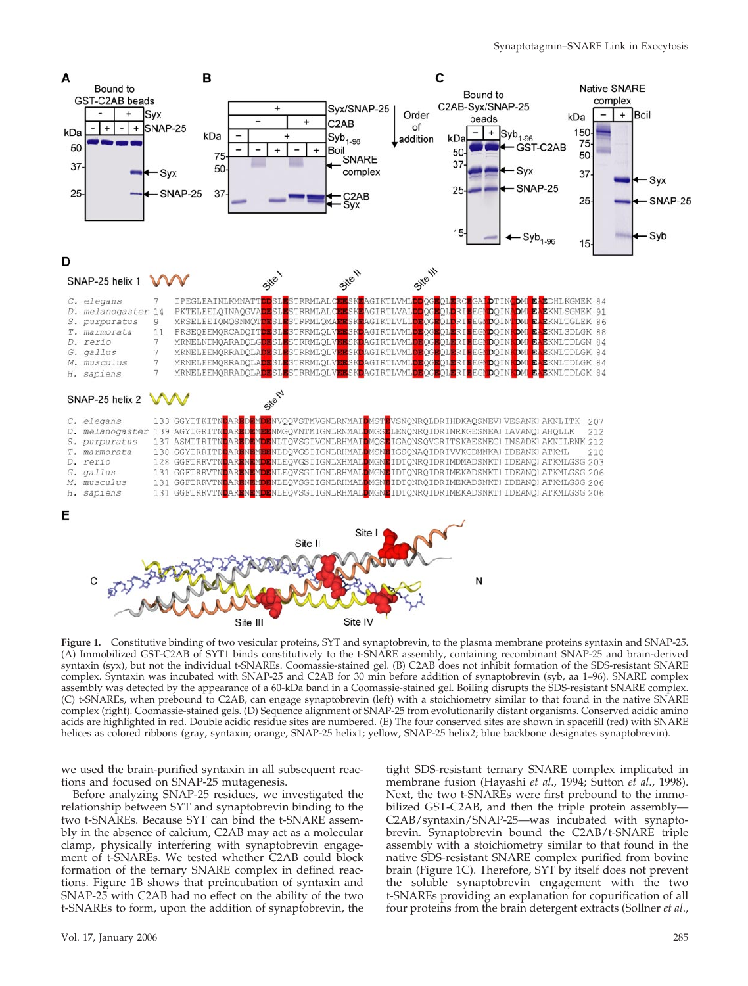

**Figure 1.** Constitutive binding of two vesicular proteins, SYT and synaptobrevin, to the plasma membrane proteins syntaxin and SNAP-25. (A) Immobilized GST-C2AB of SYT1 binds constitutively to the t-SNARE assembly, containing recombinant SNAP-25 and brain-derived syntaxin (syx), but not the individual t-SNAREs. Coomassie-stained gel. (B) C2AB does not inhibit formation of the SDS-resistant SNARE complex. Syntaxin was incubated with SNAP-25 and C2AB for 30 min before addition of synaptobrevin (syb, aa 1–96). SNARE complex assembly was detected by the appearance of a 60-kDa band in a Coomassie-stained gel. Boiling disrupts the SDS-resistant SNARE complex. (C) t-SNAREs, when prebound to C2AB, can engage synaptobrevin (left) with a stoichiometry similar to that found in the native SNARE complex (right). Coomassie-stained gels. (D) Sequence alignment of SNAP-25 from evolutionarily distant organisms. Conserved acidic amino acids are highlighted in red. Double acidic residue sites are numbered. (E) The four conserved sites are shown in spacefill (red) with SNARE helices as colored ribbons (gray, syntaxin; orange, SNAP-25 helix1; yellow, SNAP-25 helix2; blue backbone designates synaptobrevin).

we used the brain-purified syntaxin in all subsequent reactions and focused on SNAP-25 mutagenesis.

Before analyzing SNAP-25 residues, we investigated the relationship between SYT and synaptobrevin binding to the two t-SNAREs. Because SYT can bind the t-SNARE assembly in the absence of calcium, C2AB may act as a molecular clamp, physically interfering with synaptobrevin engagement of t-SNAREs. We tested whether C2AB could block formation of the ternary SNARE complex in defined reactions. Figure 1B shows that preincubation of syntaxin and SNAP-25 with C2AB had no effect on the ability of the two t-SNAREs to form, upon the addition of synaptobrevin, the

tight SDS-resistant ternary SNARE complex implicated in membrane fusion (Hayashi *et al*., 1994; Sutton *et al*., 1998). Next, the two t-SNAREs were first prebound to the immobilized GST-C2AB, and then the triple protein assembly— C2AB/syntaxin/SNAP-25—was incubated with synaptobrevin. Synaptobrevin bound the C2AB/t-SNARE triple assembly with a stoichiometry similar to that found in the native SDS-resistant SNARE complex purified from bovine brain (Figure 1C). Therefore, SYT by itself does not prevent the soluble synaptobrevin engagement with the two t-SNAREs providing an explanation for copurification of all four proteins from the brain detergent extracts (Sollner *et al*.,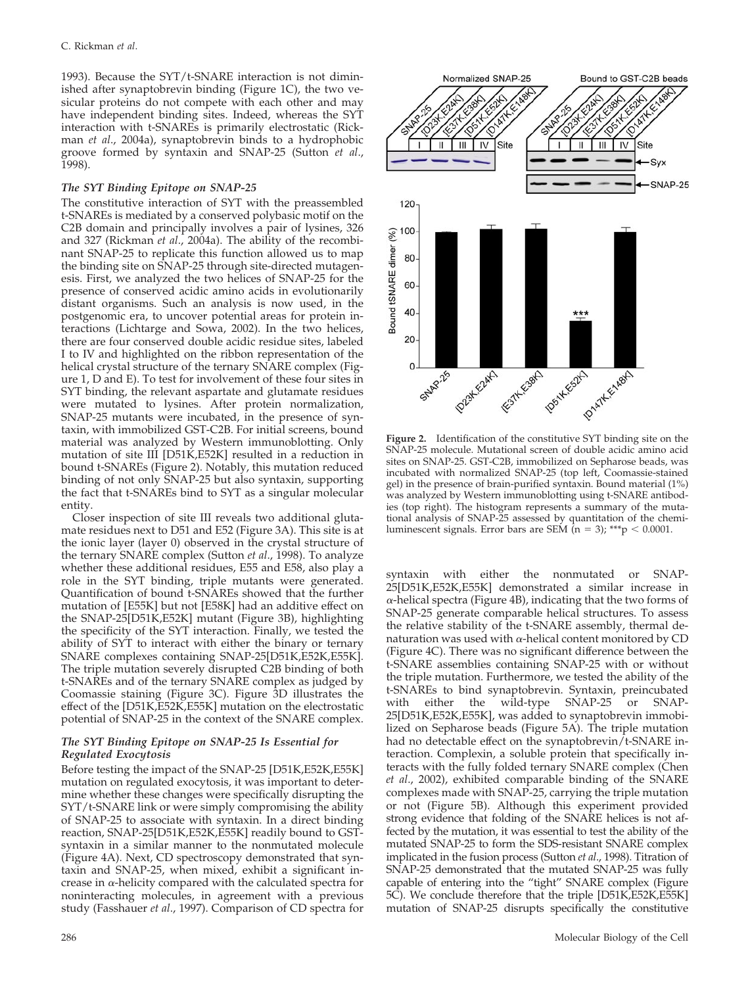1993). Because the SYT/t-SNARE interaction is not diminished after synaptobrevin binding (Figure 1C), the two vesicular proteins do not compete with each other and may have independent binding sites. Indeed, whereas the SYT interaction with t-SNAREs is primarily electrostatic (Rickman *et al*., 2004a), synaptobrevin binds to a hydrophobic groove formed by syntaxin and SNAP-25 (Sutton *et al*., 1998).

# *The SYT Binding Epitope on SNAP-25*

The constitutive interaction of SYT with the preassembled t-SNAREs is mediated by a conserved polybasic motif on the C2B domain and principally involves a pair of lysines, 326 and 327 (Rickman *et al*., 2004a). The ability of the recombinant SNAP-25 to replicate this function allowed us to map the binding site on SNAP-25 through site-directed mutagenesis. First, we analyzed the two helices of SNAP-25 for the presence of conserved acidic amino acids in evolutionarily distant organisms. Such an analysis is now used, in the postgenomic era, to uncover potential areas for protein interactions (Lichtarge and Sowa, 2002). In the two helices, there are four conserved double acidic residue sites, labeled I to IV and highlighted on the ribbon representation of the helical crystal structure of the ternary SNARE complex (Figure 1, D and E). To test for involvement of these four sites in SYT binding, the relevant aspartate and glutamate residues were mutated to lysines. After protein normalization, SNAP-25 mutants were incubated, in the presence of syntaxin, with immobilized GST-C2B. For initial screens, bound material was analyzed by Western immunoblotting. Only mutation of site III [D51K,E52K] resulted in a reduction in bound t-SNAREs (Figure 2). Notably, this mutation reduced binding of not only SNAP-25 but also syntaxin, supporting the fact that t-SNAREs bind to SYT as a singular molecular entity.

Closer inspection of site III reveals two additional glutamate residues next to D51 and E52 (Figure 3A). This site is at the ionic layer (layer 0) observed in the crystal structure of the ternary SNARE complex (Sutton *et al*., 1998). To analyze whether these additional residues, E55 and E58, also play a role in the SYT binding, triple mutants were generated. Quantification of bound t-SNAREs showed that the further mutation of [E55K] but not [E58K] had an additive effect on the SNAP-25[D51K,E52K] mutant (Figure 3B), highlighting the specificity of the SYT interaction. Finally, we tested the ability of SYT to interact with either the binary or ternary SNARE complexes containing SNAP-25[D51K,E52K,E55K]. The triple mutation severely disrupted C2B binding of both t-SNAREs and of the ternary SNARE complex as judged by Coomassie staining (Figure 3C). Figure 3D illustrates the effect of the [D51K,E52K,E55K] mutation on the electrostatic potential of SNAP-25 in the context of the SNARE complex.

# *The SYT Binding Epitope on SNAP-25 Is Essential for Regulated Exocytosis*

Before testing the impact of the SNAP-25 [D51K,E52K,E55K] mutation on regulated exocytosis, it was important to determine whether these changes were specifically disrupting the SYT/t-SNARE link or were simply compromising the ability of SNAP-25 to associate with syntaxin. In a direct binding reaction, SNAP-25[D51K,E52K,E55K] readily bound to GSTsyntaxin in a similar manner to the nonmutated molecule (Figure 4A). Next, CD spectroscopy demonstrated that syntaxin and SNAP-25, when mixed, exhibit a significant increase in  $\alpha$ -helicity compared with the calculated spectra for noninteracting molecules, in agreement with a previous study (Fasshauer *et al*., 1997). Comparison of CD spectra for



**Figure 2.** Identification of the constitutive SYT binding site on the SNAP-25 molecule. Mutational screen of double acidic amino acid sites on SNAP-25. GST-C2B, immobilized on Sepharose beads, was incubated with normalized SNAP-25 (top left, Coomassie-stained gel) in the presence of brain-purified syntaxin. Bound material (1%) was analyzed by Western immunoblotting using t-SNARE antibodies (top right). The histogram represents a summary of the mutational analysis of SNAP-25 assessed by quantitation of the chemiluminescent signals. Error bars are SEM  $(n = 3)$ ; \*\*\* $p < 0.0001$ .

syntaxin with either the nonmutated or SNAP-25[D51K,E52K,E55K] demonstrated a similar increase in  $\alpha$ -helical spectra (Figure 4B), indicating that the two forms of SNAP-25 generate comparable helical structures. To assess the relative stability of the t-SNARE assembly, thermal denaturation was used with  $\alpha$ -helical content monitored by CD (Figure 4C). There was no significant difference between the t-SNARE assemblies containing SNAP-25 with or without the triple mutation. Furthermore, we tested the ability of the t-SNAREs to bind synaptobrevin. Syntaxin, preincubated with either the wild-type SNAP-25 or SNAP-25[D51K,E52K,E55K], was added to synaptobrevin immobilized on Sepharose beads (Figure 5A). The triple mutation had no detectable effect on the synaptobrevin/t-SNARE interaction. Complexin, a soluble protein that specifically interacts with the fully folded ternary SNARE complex (Chen *et al*., 2002), exhibited comparable binding of the SNARE complexes made with SNAP-25, carrying the triple mutation or not (Figure 5B). Although this experiment provided strong evidence that folding of the SNARE helices is not affected by the mutation, it was essential to test the ability of the mutated SNAP-25 to form the SDS-resistant SNARE complex implicated in the fusion process (Sutton *et al*., 1998). Titration of SNAP-25 demonstrated that the mutated SNAP-25 was fully capable of entering into the "tight" SNARE complex (Figure 5C). We conclude therefore that the triple [D51K,E52K,E55K] mutation of SNAP-25 disrupts specifically the constitutive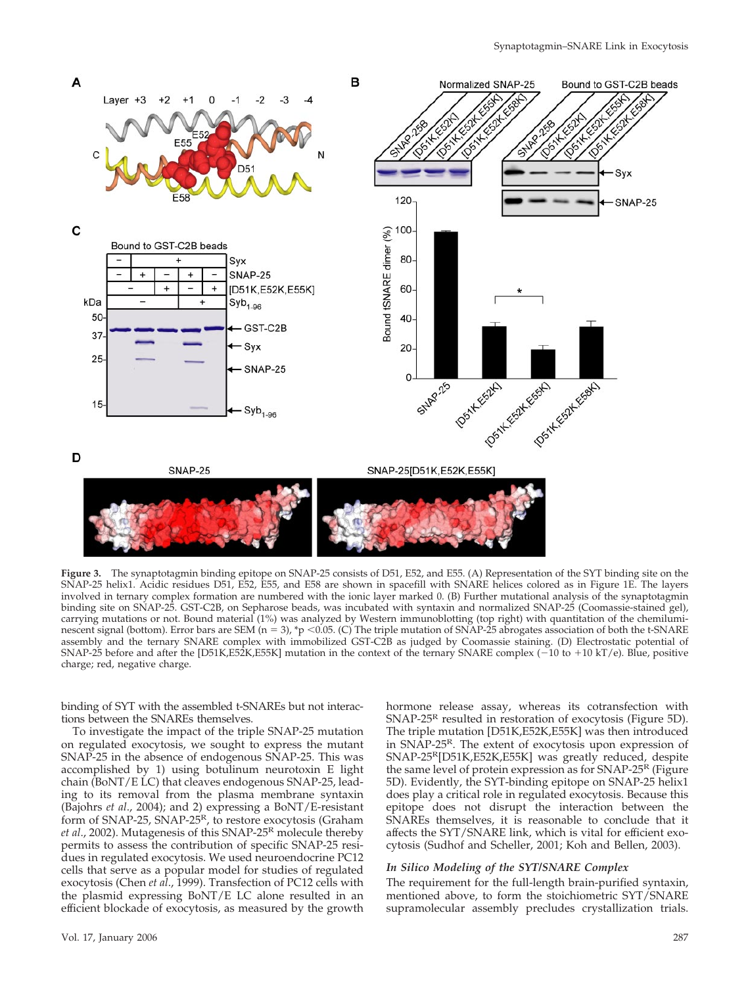

**Figure 3.** The synaptotagmin binding epitope on SNAP-25 consists of D51, E52, and E55. (A) Representation of the SYT binding site on the SNAP-25 helix1. Acidic residues D51, E52, E55, and E58 are shown in spacefill with SNARE helices colored as in Figure 1E. The layers involved in ternary complex formation are numbered with the ionic layer marked 0. (B) Further mutational analysis of the synaptotagmin binding site on SNAP-25. GST-C2B, on Sepharose beads, was incubated with syntaxin and normalized SNAP-25 (Coomassie-stained gel), carrying mutations or not. Bound material (1%) was analyzed by Western immunoblotting (top right) with quantitation of the chemiluminescent signal (bottom). Error bars are SEM (n = 3), \*p <0.05. (C) The triple mutation of SNAP-25 abrogates association of both the t-SNARE assembly and the ternary SNARE complex with immobilized GST-C2B as judged by Coomassie staining. (D) Electrostatic potential of SNAP-25 before and after the [D51K,E52K,E55K] mutation in the context of the ternary SNARE complex  $(-10 \text{ to } +10 \text{ kT/e})$ . Blue, positive charge; red, negative charge.

binding of SYT with the assembled t-SNAREs but not interactions between the SNAREs themselves.

To investigate the impact of the triple SNAP-25 mutation on regulated exocytosis, we sought to express the mutant SNAP-25 in the absence of endogenous SNAP-25. This was accomplished by 1) using botulinum neurotoxin E light chain (BoNT/E LC) that cleaves endogenous SNAP-25, leading to its removal from the plasma membrane syntaxin (Bajohrs *et al*., 2004); and 2) expressing a BoNT/E-resistant form of SNAP-25, SNAP-25<sup>R</sup>, to restore exocytosis (Graham *et al*., 2002). Mutagenesis of this SNAP-25R molecule thereby permits to assess the contribution of specific SNAP-25 residues in regulated exocytosis. We used neuroendocrine PC12 cells that serve as a popular model for studies of regulated exocytosis (Chen *et al*., 1999). Transfection of PC12 cells with the plasmid expressing BoNT/E LC alone resulted in an efficient blockade of exocytosis, as measured by the growth

hormone release assay, whereas its cotransfection with SNAP-25R resulted in restoration of exocytosis (Figure 5D). The triple mutation [D51K,E52K,E55K] was then introduced in SNAP-25R. The extent of exocytosis upon expression of SNAP-25R[D51K,E52K,E55K] was greatly reduced, despite the same level of protein expression as for SNAP-25<sup>R</sup> (Figure 5D). Evidently, the SYT-binding epitope on SNAP-25 helix1 does play a critical role in regulated exocytosis. Because this epitope does not disrupt the interaction between the SNAREs themselves, it is reasonable to conclude that it affects the SYT/SNARE link, which is vital for efficient exocytosis (Sudhof and Scheller, 2001; Koh and Bellen, 2003).

#### *In Silico Modeling of the SYT/SNARE Complex*

The requirement for the full-length brain-purified syntaxin, mentioned above, to form the stoichiometric SYT/SNARE supramolecular assembly precludes crystallization trials.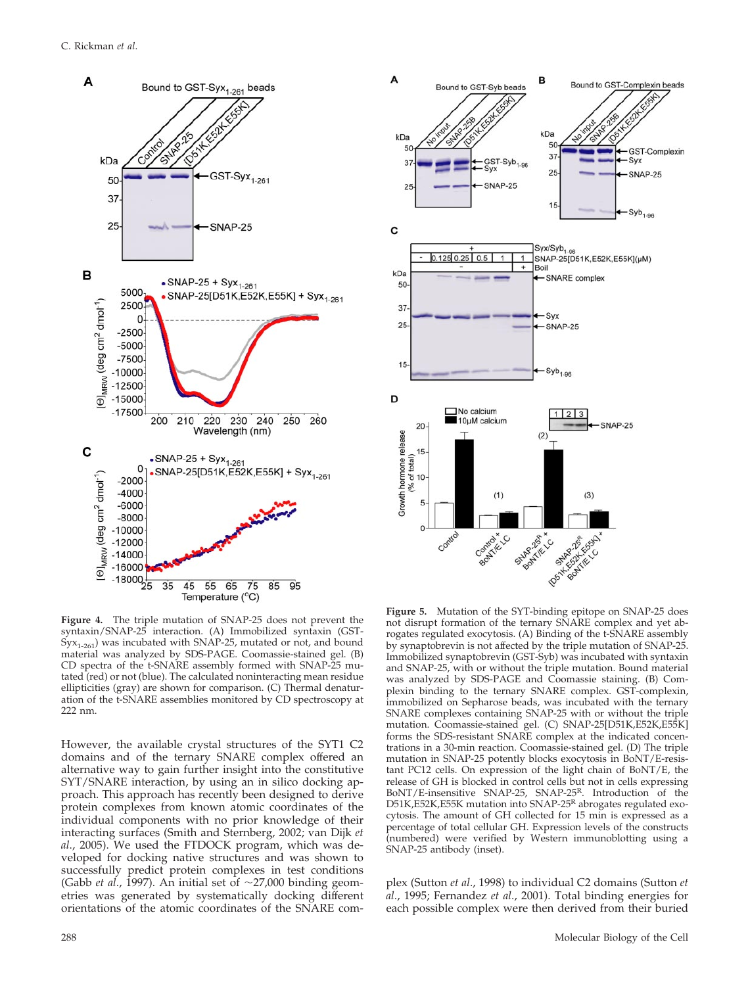



**Figure 4.** The triple mutation of SNAP-25 does not prevent the syntaxin/SNAP-25 interaction. (A) Immobilized syntaxin (GST- $Syx_{1-261}$ ) was incubated with SNAP-25, mutated or not, and bound material was analyzed by SDS-PAGE. Coomassie-stained gel. (B) CD spectra of the t-SNARE assembly formed with SNAP-25 mutated (red) or not (blue). The calculated noninteracting mean residue ellipticities (gray) are shown for comparison. (C) Thermal denaturation of the t-SNARE assemblies monitored by CD spectroscopy at 222 nm.

However, the available crystal structures of the SYT1 C2 domains and of the ternary SNARE complex offered an alternative way to gain further insight into the constitutive SYT/SNARE interaction, by using an in silico docking approach. This approach has recently been designed to derive protein complexes from known atomic coordinates of the individual components with no prior knowledge of their interacting surfaces (Smith and Sternberg, 2002; van Dijk *et al*., 2005). We used the FTDOCK program, which was developed for docking native structures and was shown to successfully predict protein complexes in test conditions (Gabb *et al.*, 1997). An initial set of  $\sim$ 27,000 binding geometries was generated by systematically docking different orientations of the atomic coordinates of the SNARE com-

**Figure 5.** Mutation of the SYT-binding epitope on SNAP-25 does not disrupt formation of the ternary SNARE complex and yet abrogates regulated exocytosis. (A) Binding of the t-SNARE assembly by synaptobrevin is not affected by the triple mutation of SNAP-25. Immobilized synaptobrevin (GST-Syb) was incubated with syntaxin and SNAP-25, with or without the triple mutation. Bound material was analyzed by SDS-PAGE and Coomassie staining. (B) Complexin binding to the ternary SNARE complex. GST-complexin, immobilized on Sepharose beads, was incubated with the ternary SNARE complexes containing SNAP-25 with or without the triple mutation. Coomassie-stained gel. (C) SNAP-25[D51K,E52K,E55K] forms the SDS-resistant SNARE complex at the indicated concentrations in a 30-min reaction. Coomassie-stained gel. (D) The triple mutation in SNAP-25 potently blocks exocytosis in BoNT/E-resistant PC12 cells. On expression of the light chain of BoNT/E, the release of GH is blocked in control cells but not in cells expressing BoNT/E-insensitive SNAP-25, SNAP-25R. Introduction of the D51K, E52K, E55K mutation into SNAP-25<sup>R</sup> abrogates regulated exocytosis. The amount of GH collected for 15 min is expressed as a percentage of total cellular GH. Expression levels of the constructs (numbered) were verified by Western immunoblotting using a SNAP-25 antibody (inset).

plex (Sutton *et al*., 1998) to individual C2 domains (Sutton *et al*., 1995; Fernandez *et al*., 2001). Total binding energies for each possible complex were then derived from their buried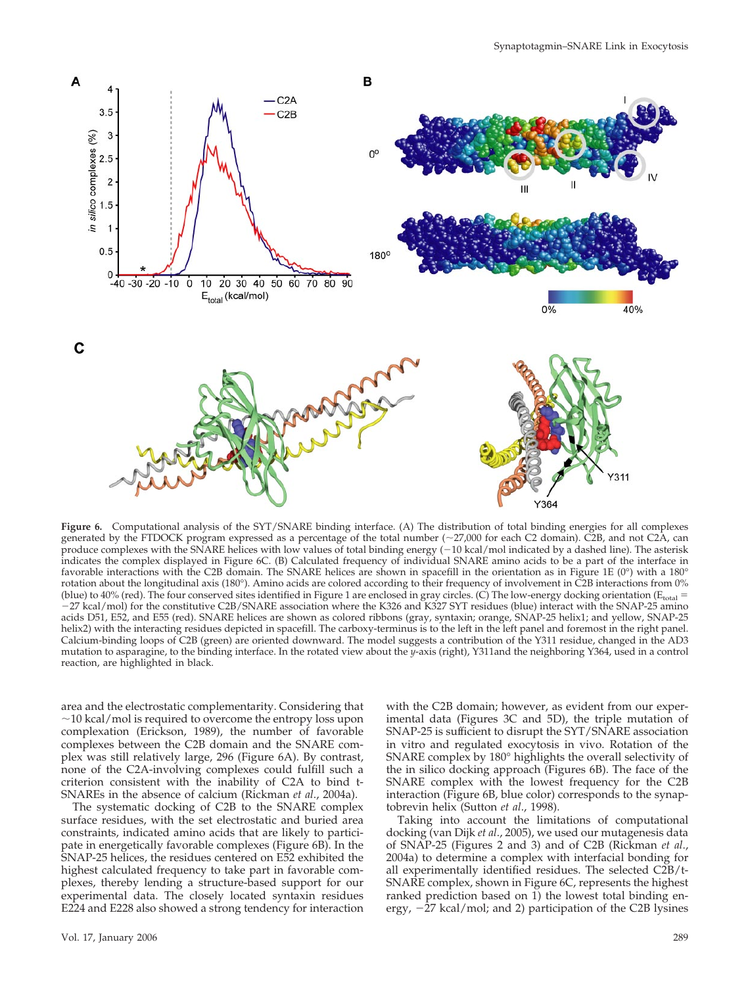

**Figure 6.** Computational analysis of the SYT/SNARE binding interface. (A) The distribution of total binding energies for all complexes generated by the FTDOCK program expressed as a percentage of the total number  $(\sim 27,000$  for each C2 domain). C2B, and not C2A, can produce complexes with the SNARE helices with low values of total binding energy (-10 kcal/mol indicated by a dashed line). The asterisk indicates the complex displayed in Figure 6C. (B) Calculated frequency of individual SNARE amino acids to be a part of the interface in favorable interactions with the C2B domain. The SNARE helices are shown in spacefill in the orientation as in Figure 1E (0°) with a 180° rotation about the longitudinal axis (180°). Amino acids are colored according to their frequency of involvement in C2B interactions from 0% (blue) to 40% (red). The four conserved sites identified in Figure 1 are enclosed in gray circles. (C) The low-energy docking orientation (E $_{\rm total}$  = 27 kcal/mol) for the constitutive C2B/SNARE association where the K326 and K327 SYT residues (blue) interact with the SNAP-25 amino acids D51, E52, and E55 (red). SNARE helices are shown as colored ribbons (gray, syntaxin; orange, SNAP-25 helix1; and yellow, SNAP-25 helix2) with the interacting residues depicted in spacefill. The carboxy-terminus is to the left in the left panel and foremost in the right panel. Calcium-binding loops of C2B (green) are oriented downward. The model suggests a contribution of the Y311 residue, changed in the AD3 mutation to asparagine, to the binding interface. In the rotated view about the *y*-axis (right), Y311and the neighboring Y364, used in a control reaction, are highlighted in black.

area and the electrostatic complementarity. Considering that  $\sim$ 10 kcal/mol is required to overcome the entropy loss upon complexation (Erickson, 1989), the number of favorable complexes between the C2B domain and the SNARE complex was still relatively large, 296 (Figure 6A). By contrast, none of the C2A-involving complexes could fulfill such a criterion consistent with the inability of C2A to bind t-SNAREs in the absence of calcium (Rickman *et al*., 2004a).

The systematic docking of C2B to the SNARE complex surface residues, with the set electrostatic and buried area constraints, indicated amino acids that are likely to participate in energetically favorable complexes (Figure 6B). In the SNAP-25 helices, the residues centered on E52 exhibited the highest calculated frequency to take part in favorable complexes, thereby lending a structure-based support for our experimental data. The closely located syntaxin residues E224 and E228 also showed a strong tendency for interaction with the C2B domain; however, as evident from our experimental data (Figures 3C and 5D), the triple mutation of SNAP-25 is sufficient to disrupt the SYT/SNARE association in vitro and regulated exocytosis in vivo. Rotation of the SNARE complex by 180° highlights the overall selectivity of the in silico docking approach (Figures 6B). The face of the SNARE complex with the lowest frequency for the C2B interaction (Figure 6B, blue color) corresponds to the synaptobrevin helix (Sutton *et al*., 1998).

Taking into account the limitations of computational docking (van Dijk *et al*., 2005), we used our mutagenesis data of SNAP-25 (Figures 2 and 3) and of C2B (Rickman *et al*., 2004a) to determine a complex with interfacial bonding for all experimentally identified residues. The selected C2B/t-SNARE complex, shown in Figure 6C, represents the highest ranked prediction based on  $\overline{1}$ ) the lowest total binding energy,  $-\overline{27}$  kcal/mol; and 2) participation of the C2B lysines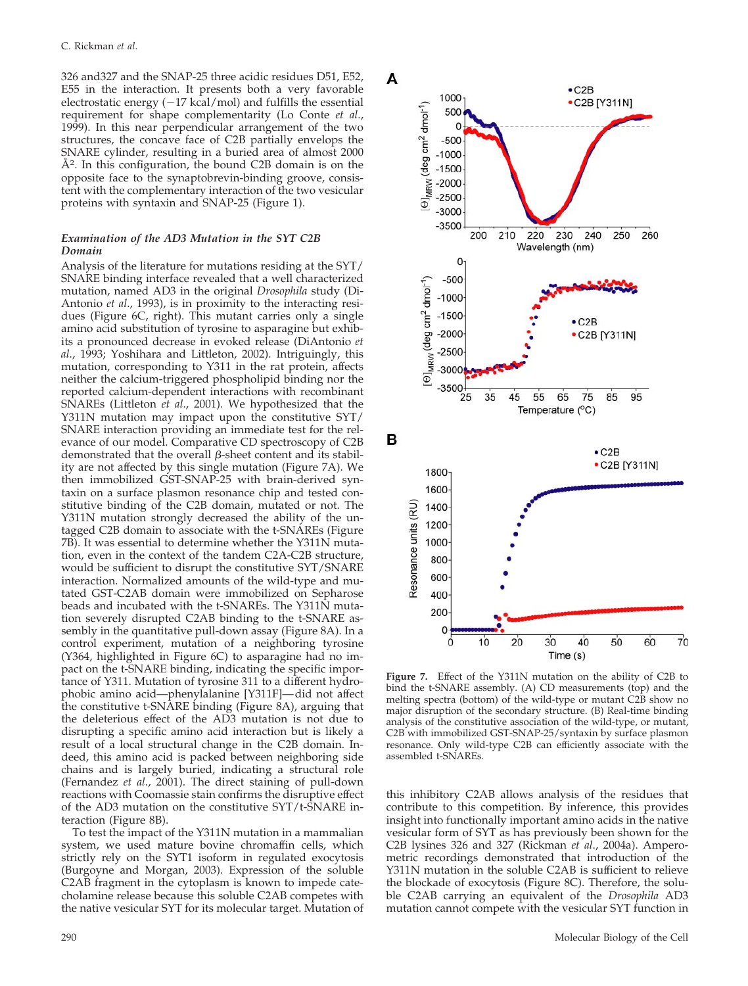326 and327 and the SNAP-25 three acidic residues D51, E52, E55 in the interaction. It presents both a very favorable electrostatic energy  $(-17 \text{ kcal/mol})$  and fulfills the essential requirement for shape complementarity (Lo Conte *et al*., 1999). In this near perpendicular arrangement of the two structures, the concave face of C2B partially envelops the SNARE cylinder, resulting in a buried area of almost 2000 Å2 . In this configuration, the bound C2B domain is on the opposite face to the synaptobrevin-binding groove, consistent with the complementary interaction of the two vesicular proteins with syntaxin and SNAP-25 (Figure 1).

# *Examination of the AD3 Mutation in the SYT C2B Domain*

Analysis of the literature for mutations residing at the SYT/ SNARE binding interface revealed that a well characterized mutation, named AD3 in the original *Drosophila* study (Di-Antonio *et al*., 1993), is in proximity to the interacting residues (Figure 6C, right). This mutant carries only a single amino acid substitution of tyrosine to asparagine but exhibits a pronounced decrease in evoked release (DiAntonio *et al*., 1993; Yoshihara and Littleton, 2002). Intriguingly, this mutation, corresponding to Y311 in the rat protein, affects neither the calcium-triggered phospholipid binding nor the reported calcium-dependent interactions with recombinant SNAREs (Littleton *et al*., 2001). We hypothesized that the Y311N mutation may impact upon the constitutive SYT/ SNARE interaction providing an immediate test for the relevance of our model. Comparative CD spectroscopy of C2B demonstrated that the overall  $\beta$ -sheet content and its stability are not affected by this single mutation (Figure 7A). We then immobilized GST-SNAP-25 with brain-derived syntaxin on a surface plasmon resonance chip and tested constitutive binding of the C2B domain, mutated or not. The Y311N mutation strongly decreased the ability of the untagged C2B domain to associate with the t-SNAREs (Figure 7B). It was essential to determine whether the Y311N mutation, even in the context of the tandem C2A-C2B structure, would be sufficient to disrupt the constitutive SYT/SNARE interaction. Normalized amounts of the wild-type and mutated GST-C2AB domain were immobilized on Sepharose beads and incubated with the t-SNAREs. The Y311N mutation severely disrupted C2AB binding to the t-SNARE assembly in the quantitative pull-down assay (Figure 8A). In a control experiment, mutation of a neighboring tyrosine (Y364, highlighted in Figure 6C) to asparagine had no impact on the t-SNARE binding, indicating the specific importance of Y311. Mutation of tyrosine 311 to a different hydrophobic amino acid—phenylalanine [Y311F]—did not affect the constitutive t-SNARE binding (Figure 8A), arguing that the deleterious effect of the AD3 mutation is not due to disrupting a specific amino acid interaction but is likely a result of a local structural change in the C2B domain. Indeed, this amino acid is packed between neighboring side chains and is largely buried, indicating a structural role (Fernandez *et al*., 2001). The direct staining of pull-down reactions with Coomassie stain confirms the disruptive effect of the AD3 mutation on the constitutive SYT/t-SNARE interaction (Figure 8B).

To test the impact of the Y311N mutation in a mammalian system, we used mature bovine chromaffin cells, which strictly rely on the SYT1 isoform in regulated exocytosis (Burgoyne and Morgan, 2003). Expression of the soluble C2AB fragment in the cytoplasm is known to impede catecholamine release because this soluble C2AB competes with the native vesicular SYT for its molecular target. Mutation of



**Figure 7.** Effect of the Y311N mutation on the ability of C2B to bind the t-SNARE assembly. (A) CD measurements (top) and the melting spectra (bottom) of the wild-type or mutant C2B show no major disruption of the secondary structure. (B) Real-time binding analysis of the constitutive association of the wild-type, or mutant, C2B with immobilized GST-SNAP-25/syntaxin by surface plasmon resonance. Only wild-type C2B can efficiently associate with the assembled t-SNAREs.

this inhibitory C2AB allows analysis of the residues that contribute to this competition. By inference, this provides insight into functionally important amino acids in the native vesicular form of SYT as has previously been shown for the C2B lysines 326 and 327 (Rickman *et al*., 2004a). Amperometric recordings demonstrated that introduction of the Y311N mutation in the soluble C2AB is sufficient to relieve the blockade of exocytosis (Figure 8C). Therefore, the soluble C2AB carrying an equivalent of the *Drosophila* AD3 mutation cannot compete with the vesicular SYT function in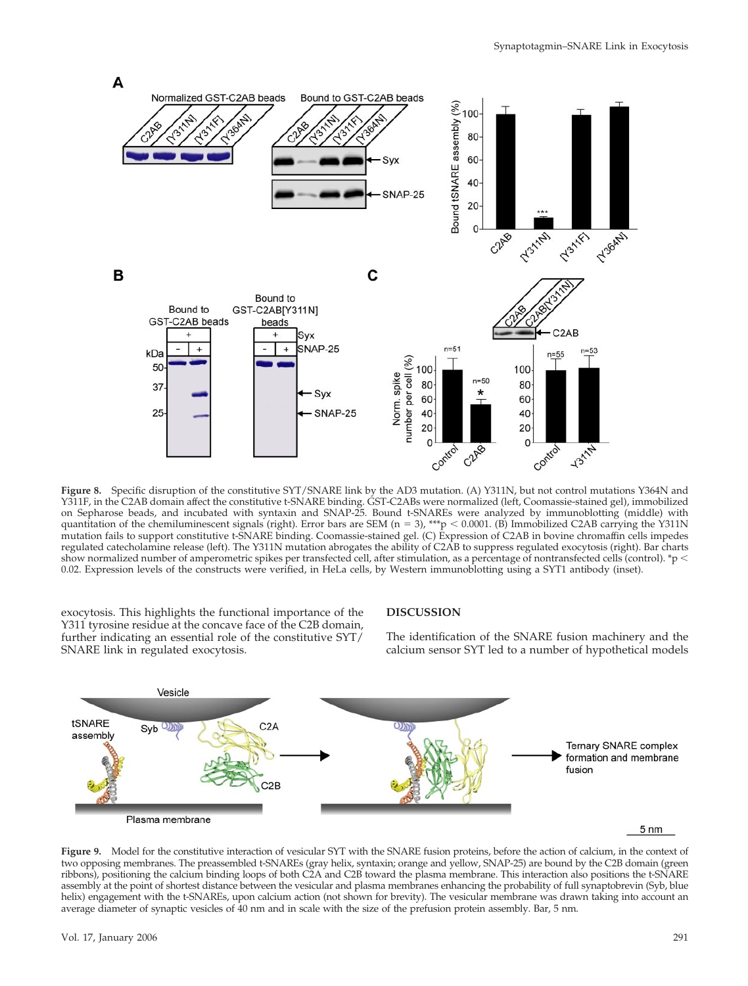

**Figure 8.** Specific disruption of the constitutive SYT/SNARE link by the AD3 mutation. (A) Y311N, but not control mutations Y364N and Y311F, in the C2AB domain affect the constitutive t-SNARE binding. GST-C2ABs were normalized (left, Coomassie-stained gel), immobilized on Sepharose beads, and incubated with syntaxin and SNAP-25. Bound t-SNAREs were analyzed by immunoblotting (middle) with quantitation of the chemiluminescent signals (right). Error bars are SEM (n = 3), \*\*\*p  $<$  0.0001. (B) Immobilized C2AB carrying the Y311N mutation fails to support constitutive t-SNARE binding. Coomassie-stained gel. (C) Expression of C2AB in bovine chromaffin cells impedes regulated catecholamine release (left). The Y311N mutation abrogates the ability of C2AB to suppress regulated exocytosis (right). Bar charts show normalized number of amperometric spikes per transfected cell, after stimulation, as a percentage of nontransfected cells (control). \*p 0.02. Expression levels of the constructs were verified, in HeLa cells, by Western immunoblotting using a SYT1 antibody (inset).

exocytosis. This highlights the functional importance of the Y311 tyrosine residue at the concave face of the C2B domain, further indicating an essential role of the constitutive SYT/ SNARE link in regulated exocytosis.

## **DISCUSSION**

The identification of the SNARE fusion machinery and the calcium sensor SYT led to a number of hypothetical models



**Figure 9.** Model for the constitutive interaction of vesicular SYT with the SNARE fusion proteins, before the action of calcium, in the context of two opposing membranes. The preassembled t-SNAREs (gray helix, syntaxin; orange and yellow, SNAP-25) are bound by the C2B domain (green ribbons), positioning the calcium binding loops of both C2A and C2B toward the plasma membrane. This interaction also positions the t-SNARE assembly at the point of shortest distance between the vesicular and plasma membranes enhancing the probability of full synaptobrevin (Syb, blue helix) engagement with the t-SNAREs, upon calcium action (not shown for brevity). The vesicular membrane was drawn taking into account an average diameter of synaptic vesicles of 40 nm and in scale with the size of the prefusion protein assembly. Bar, 5 nm.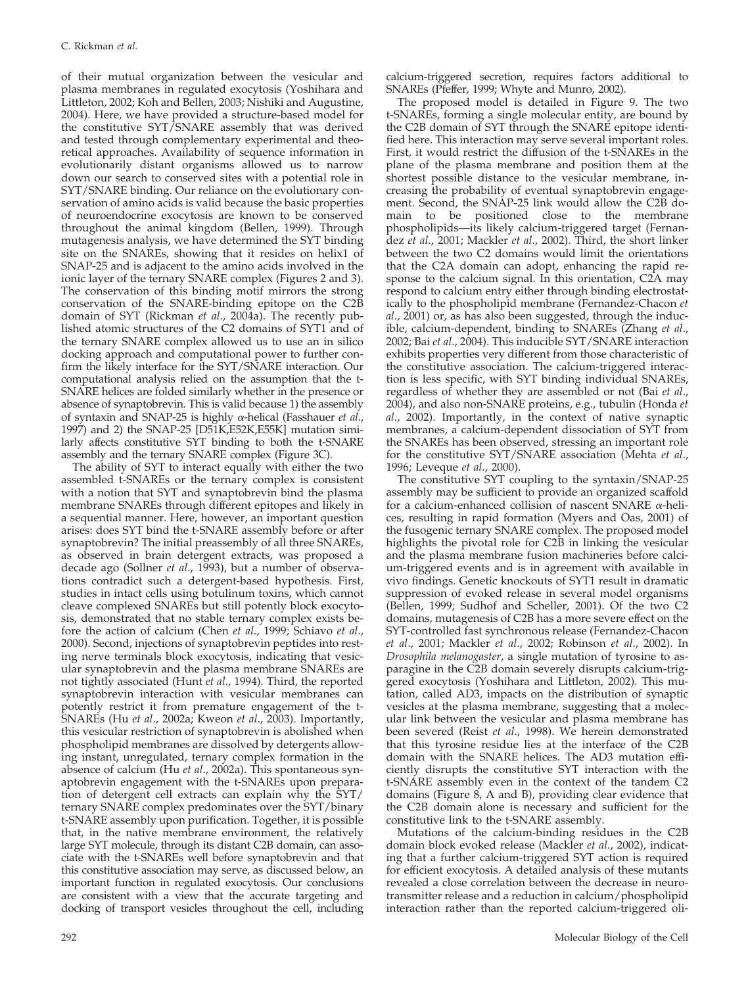of their mutual organization between the vesicular and plasma membranes in regulated exocytosis (Yoshihara and Littleton, 2002; Koh and Bellen, 2003; Nishiki and Augustine, 2004). Here, we have provided a structure-based model for the constitutive SYT/SNARE assembly that was derived and tested through complementary experimental and theoretical approaches. Availability of sequence information in evolutionarily distant organisms allowed us to narrow down our search to conserved sites with a potential role in SYT/SNARE binding. Our reliance on the evolutionary conservation of amino acids is valid because the basic properties of neuroendocrine exocytosis are known to be conserved throughout the animal kingdom (Bellen, 1999). Through mutagenesis analysis, we have determined the SYT binding site on the SNAREs, showing that it resides on helix1 of SNAP-25 and is adjacent to the amino acids involved in the ionic layer of the ternary SNARE complex (Figures 2 and 3). The conservation of this binding motif mirrors the strong conservation of the SNARE-binding epitope on the C2B domain of SYT (Rickman *et al*., 2004a). The recently published atomic structures of the C2 domains of SYT1 and of the ternary SNARE complex allowed us to use an in silico docking approach and computational power to further confirm the likely interface for the SYT/SNARE interaction. Our computational analysis relied on the assumption that the t-SNARE helices are folded similarly whether in the presence or absence of synaptobrevin. This is valid because 1) the assembly of syntaxin and SNAP-25 is highly  $\alpha$ -helical (Fasshauer *et al.*, 1997) and 2) the SNAP-25 [D51K,E52K,E55K] mutation similarly affects constitutive SYT binding to both the t-SNARE assembly and the ternary SNARE complex (Figure 3C).

The ability of SYT to interact equally with either the two assembled t-SNAREs or the ternary complex is consistent with a notion that SYT and synaptobrevin bind the plasma membrane SNAREs through different epitopes and likely in a sequential manner. Here, however, an important question arises: does SYT bind the t-SNARE assembly before or after synaptobrevin? The initial preassembly of all three SNAREs, as observed in brain detergent extracts, was proposed a decade ago (Sollner *et al*., 1993), but a number of observations contradict such a detergent-based hypothesis. First, studies in intact cells using botulinum toxins, which cannot cleave complexed SNAREs but still potently block exocytosis, demonstrated that no stable ternary complex exists before the action of calcium (Chen *et al*., 1999; Schiavo *et al*., 2000). Second, injections of synaptobrevin peptides into resting nerve terminals block exocytosis, indicating that vesicular synaptobrevin and the plasma membrane SNAREs are not tightly associated (Hunt *et al*., 1994). Third, the reported synaptobrevin interaction with vesicular membranes can potently restrict it from premature engagement of the t-SNAREs (Hu *et al*., 2002a; Kweon *et al*., 2003). Importantly, this vesicular restriction of synaptobrevin is abolished when phospholipid membranes are dissolved by detergents allowing instant, unregulated, ternary complex formation in the absence of calcium (Hu *et al*., 2002a). This spontaneous synaptobrevin engagement with the t-SNAREs upon preparation of detergent cell extracts can explain why the SYT/ ternary SNARE complex predominates over the SYT/binary t-SNARE assembly upon purification. Together, it is possible that, in the native membrane environment, the relatively large SYT molecule, through its distant C2B domain, can associate with the t-SNAREs well before synaptobrevin and that this constitutive association may serve, as discussed below, an important function in regulated exocytosis. Our conclusions are consistent with a view that the accurate targeting and docking of transport vesicles throughout the cell, including

calcium-triggered secretion, requires factors additional to SNAREs (Pfeffer, 1999; Whyte and Munro, 2002).

The proposed model is detailed in Figure 9. The two t-SNAREs, forming a single molecular entity, are bound by the C2B domain of SYT through the SNARE epitope identified here. This interaction may serve several important roles. First, it would restrict the diffusion of the t-SNAREs in the plane of the plasma membrane and position them at the shortest possible distance to the vesicular membrane, increasing the probability of eventual synaptobrevin engagement. Second, the SNAP-25 link would allow the C2B domain to be positioned close to the membrane phospholipids—its likely calcium-triggered target (Fernandez *et al*., 2001; Mackler *et al*., 2002). Third, the short linker between the two C2 domains would limit the orientations that the C2A domain can adopt, enhancing the rapid response to the calcium signal. In this orientation, C2A may respond to calcium entry either through binding electrostatically to the phospholipid membrane (Fernandez-Chacon *et al*., 2001) or, as has also been suggested, through the inducible, calcium-dependent, binding to SNAREs (Zhang *et al*., 2002; Bai *et al*., 2004). This inducible SYT/SNARE interaction exhibits properties very different from those characteristic of the constitutive association. The calcium-triggered interaction is less specific, with SYT binding individual SNAREs, regardless of whether they are assembled or not (Bai *et al*., 2004), and also non-SNARE proteins, e.g., tubulin (Honda *et al*., 2002). Importantly, in the context of native synaptic membranes, a calcium-dependent dissociation of SYT from the SNAREs has been observed, stressing an important role for the constitutive SYT/SNARE association (Mehta *et al*., 1996; Leveque *et al*., 2000).

The constitutive SYT coupling to the syntaxin/SNAP-25 assembly may be sufficient to provide an organized scaffold for a calcium-enhanced collision of nascent SNARE  $\alpha$ -helices, resulting in rapid formation (Myers and Oas, 2001) of the fusogenic ternary SNARE complex. The proposed model highlights the pivotal role for C2B in linking the vesicular and the plasma membrane fusion machineries before calcium-triggered events and is in agreement with available in vivo findings. Genetic knockouts of SYT1 result in dramatic suppression of evoked release in several model organisms (Bellen, 1999; Sudhof and Scheller, 2001). Of the two C2 domains, mutagenesis of C2B has a more severe effect on the SYT-controlled fast synchronous release (Fernandez-Chacon *et al*., 2001; Mackler *et al*., 2002; Robinson *et al*., 2002). In *Drosophila melanogaster*, a single mutation of tyrosine to asparagine in the C2B domain severely disrupts calcium-triggered exocytosis (Yoshihara and Littleton, 2002). This mutation, called AD3, impacts on the distribution of synaptic vesicles at the plasma membrane, suggesting that a molecular link between the vesicular and plasma membrane has been severed (Reist *et al*., 1998). We herein demonstrated that this tyrosine residue lies at the interface of the C2B domain with the SNARE helices. The AD3 mutation efficiently disrupts the constitutive SYT interaction with the t-SNARE assembly even in the context of the tandem C2 domains (Figure 8, A and B), providing clear evidence that the C2B domain alone is necessary and sufficient for the constitutive link to the t-SNARE assembly.

Mutations of the calcium-binding residues in the C2B domain block evoked release (Mackler *et al*., 2002), indicating that a further calcium-triggered SYT action is required for efficient exocytosis. A detailed analysis of these mutants revealed a close correlation between the decrease in neurotransmitter release and a reduction in calcium/phospholipid interaction rather than the reported calcium-triggered oli-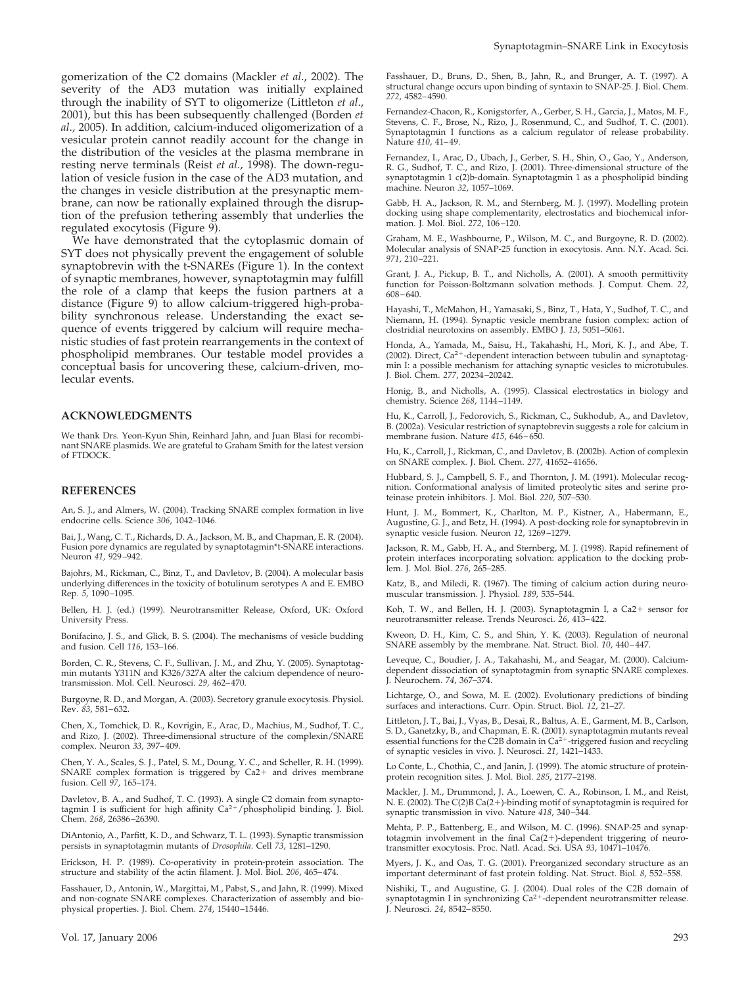gomerization of the C2 domains (Mackler *et al*., 2002). The severity of the AD3 mutation was initially explained through the inability of SYT to oligomerize (Littleton *et al*., 2001), but this has been subsequently challenged (Borden *et al*., 2005). In addition, calcium-induced oligomerization of a vesicular protein cannot readily account for the change in the distribution of the vesicles at the plasma membrane in resting nerve terminals (Reist *et al.*, 1998). The down-regulation of vesicle fusion in the case of the AD3 mutation, and the changes in vesicle distribution at the presynaptic membrane, can now be rationally explained through the disruption of the prefusion tethering assembly that underlies the regulated exocytosis (Figure 9).

We have demonstrated that the cytoplasmic domain of SYT does not physically prevent the engagement of soluble synaptobrevin with the t-SNAREs (Figure 1). In the context of synaptic membranes, however, synaptotagmin may fulfill the role of a clamp that keeps the fusion partners at a distance (Figure 9) to allow calcium-triggered high-probability synchronous release. Understanding the exact sequence of events triggered by calcium will require mechanistic studies of fast protein rearrangements in the context of phospholipid membranes. Our testable model provides a conceptual basis for uncovering these, calcium-driven, molecular events.

#### **ACKNOWLEDGMENTS**

We thank Drs. Yeon-Kyun Shin, Reinhard Jahn, and Juan Blasi for recombinant SNARE plasmids. We are grateful to Graham Smith for the latest version of FTDOCK.

#### **REFERENCES**

An, S. J., and Almers, W. (2004). Tracking SNARE complex formation in live endocrine cells. Science *306*, 1042–1046.

Bai, J., Wang, C. T., Richards, D. A., Jackson, M. B., and Chapman, E. R. (2004). Fusion pore dynamics are regulated by synaptotagmin\*t-SNARE interactions. Neuron *41*, 929–942.

Bajohrs, M., Rickman, C., Binz, T., and Davletov, B. (2004). A molecular basis underlying differences in the toxicity of botulinum serotypes A and E. EMBO Rep. *5*, 1090–1095.

Bellen, H. J. (ed.) (1999). Neurotransmitter Release, Oxford, UK: Oxford University Press.

Bonifacino, J. S., and Glick, B. S. (2004). The mechanisms of vesicle budding and fusion. Cell *116*, 153–166.

Borden, C. R., Stevens, C. F., Sullivan, J. M., and Zhu, Y. (2005). Synaptotagmin mutants Y311N and K326/327A alter the calcium dependence of neurotransmission. Mol. Cell. Neurosci. *29,* 462–470.

Burgoyne, R. D., and Morgan, A. (2003). Secretory granule exocytosis. Physiol. Rev. *83*, 581–632.

Chen, X., Tomchick, D. R., Kovrigin, E., Arac, D., Machius, M., Sudhof, T. C., and Rizo, J. (2002). Three-dimensional structure of the complexin/SNARE complex. Neuron *33*, 397–409.

Chen, Y. A., Scales, S. J., Patel, S. M., Doung, Y. C., and Scheller, R. H. (1999).<br>SNARE complex formation is triggered by Ca2+ and drives membrane fusion. Cell *97*, 165–174.

Davletov, B. A., and Sudhof, T. C. (1993). A single C2 domain from synaptotagmin I is sufficient for high affinity  $Ca^{2+}/p$ hospholipid binding. J. Biol. Chem. *268*, 26386–26390.

DiAntonio, A., Parfitt, K. D., and Schwarz, T. L. (1993). Synaptic transmission persists in synaptotagmin mutants of *Drosophila*. Cell *73*, 1281–1290.

Erickson, H. P. (1989). Co-operativity in protein-protein association. The structure and stability of the actin filament. J. Mol. Biol. *206*, 465–474.

Fasshauer, D., Antonin, W., Margittai, M., Pabst, S., and Jahn, R. (1999). Mixed and non-cognate SNARE complexes. Characterization of assembly and biophysical properties. J. Biol. Chem. *274*, 15440–15446.

Fasshauer, D., Bruns, D., Shen, B., Jahn, R., and Brunger, A. T. (1997). A structural change occurs upon binding of syntaxin to SNAP-25. J. Biol. Chem. *272*, 4582–4590.

Fernandez-Chacon, R., Konigstorfer, A., Gerber, S. H., Garcia, J., Matos, M. F., Stevens, C. F., Brose, N., Rizo, J., Rosenmund, C., and Sudhof, T. C. (2001). Synaptotagmin I functions as a calcium regulator of release probability. Nature *410*, 41–49.

Fernandez, I., Arac, D., Ubach, J., Gerber, S. H., Shin, O., Gao, Y., Anderson, R. G., Sudhof, T. C., and Rizo, J. (2001). Three-dimensional structure of the synaptotagmin 1 c(2)b-domain. Synaptotagmin 1 as a phospholipid binding machine. Neuron *32*, 1057–1069.

Gabb, H. A., Jackson, R. M., and Sternberg, M. J. (1997). Modelling protein docking using shape complementarity, electrostatics and biochemical information. J. Mol. Biol. *272*, 106–120.

Graham, M. E., Washbourne, P., Wilson, M. C., and Burgoyne, R. D. (2002). Molecular analysis of SNAP-25 function in exocytosis. Ann. N.Y. Acad. Sci. *971*, 210–221.

Grant, J. A., Pickup, B. T., and Nicholls, A. (2001). A smooth permittivity function for Poisson-Boltzmann solvation methods. J. Comput. Chem. *22*, 608–640.

Hayashi, T., McMahon, H., Yamasaki, S., Binz, T., Hata, Y., Sudhof, T. C., and Niemann, H. (1994). Synaptic vesicle membrane fusion complex: action of clostridial neurotoxins on assembly. EMBO J. *13*, 5051–5061.

Honda, A., Yamada, M., Saisu, H., Takahashi, H., Mori, K. J., and Abe, T. (2002). Direct,  $Ca^{2+}$ -dependent interaction between tubulin and synaptotagmin I: a possible mechanism for attaching synaptic vesicles to microtubules. J. Biol. Chem. *277*, 20234–20242.

Honig, B., and Nicholls, A. (1995). Classical electrostatics in biology and chemistry. Science *268*, 1144–1149.

Hu, K., Carroll, J., Fedorovich, S., Rickman, C., Sukhodub, A., and Davletov, B. (2002a). Vesicular restriction of synaptobrevin suggests a role for calcium in membrane fusion. Nature *415*, 646–650.

Hu, K., Carroll, J., Rickman, C., and Davletov, B. (2002b). Action of complexin on SNARE complex. J. Biol. Chem. *277*, 41652–41656.

Hubbard, S. J., Campbell, S. F., and Thornton, J. M. (1991). Molecular recognition. Conformational analysis of limited proteolytic sites and serine proteinase protein inhibitors. J. Mol. Biol. *220*, 507–530.

Hunt, J. M., Bommert, K., Charlton, M. P., Kistner, A., Habermann, E., Augustine, G. J., and Betz, H. (1994). A post-docking role for synaptobrevin in synaptic vesicle fusion. Neuron *12*, 1269–1279.

Jackson, R. M., Gabb, H. A., and Sternberg, M. J. (1998). Rapid refinement of protein interfaces incorporating solvation: application to the docking problem. J. Mol. Biol. *276*, 265–285.

Katz, B., and Miledi, R. (1967). The timing of calcium action during neuromuscular transmission. J. Physiol. *189*, 535–544.

Koh, T. W., and Bellen, H. J. (2003). Synaptotagmin I, a Ca2+ sensor for neurotransmitter release. Trends Neurosci. *26*, 413–422.

Kweon, D. H., Kim, C. S., and Shin, Y. K. (2003). Regulation of neuronal SNARE assembly by the membrane. Nat. Struct. Biol. *10*, 440–447.

Leveque, C., Boudier, J. A., Takahashi, M., and Seagar, M. (2000). Calciumdependent dissociation of synaptotagmin from synaptic SNARE complexes. J. Neurochem. *74*, 367–374.

Lichtarge, O., and Sowa, M. E. (2002). Evolutionary predictions of binding surfaces and interactions. Curr. Opin. Struct. Biol. *12*, 21–27.

Littleton, J. T., Bai, J., Vyas, B., Desai, R., Baltus, A. E., Garment, M. B., Carlson, S. D., Ganetzky, B., and Chapman, E. R. (2001). synaptotagmin mutants reveal<br>essential functions for the C2B domain in Ca<sup>2+</sup>-triggered fusion and recycling of synaptic vesicles in vivo. J. Neurosci. *21*, 1421–1433.

Lo Conte, L., Chothia, C., and Janin, J. (1999). The atomic structure of proteinprotein recognition sites. J. Mol. Biol. *285*, 2177–2198.

Mackler, J. M., Drummond, J. A., Loewen, C. A., Robinson, I. M., and Reist, N. E. (2002). The C(2)B Ca(2+)-binding motif of synaptotagmin is required for synaptic transmission in vivo. Nature *418*, 340–344.

Mehta, P. P., Battenberg, E., and Wilson, M. C. (1996). SNAP-25 and synaptotagmin involvement in the final  $Ca(2+)$ -dependent triggering of neurotransmitter exocytosis. Proc. Natl. Acad. Sci. USA *93*, 10471–10476.

Myers, J. K., and Oas, T. G. (2001). Preorganized secondary structure as an important determinant of fast protein folding. Nat. Struct. Biol. *8*, 552–558.

Nishiki, T., and Augustine, G. J. (2004). Dual roles of the C2B domain of synaptotagmin I in synchronizing  $Ca^{2+}$ -dependent neurotransmitter release. J. Neurosci. *24*, 8542–8550.